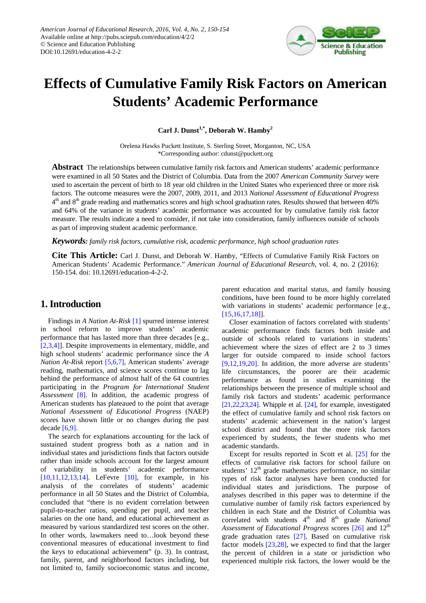

# **Effects of Cumulative Family Risk Factors on American Students' Academic Performance**

**Carl J. Dunst1,\* , Deborah W. Hamby<sup>2</sup>**

Orelena Hawks Puckett Institute, S. Sterling Street, Morganton, NC, USA \*Corresponding author: cdunst@puckett.org

**Abstract** The relationships between cumulative family risk factors and American students' academic performance were examined in all 50 States and the District of Columbia. Data from the 2007 *American Community Survey* were used to ascertain the percent of birth to 18 year old children in the United States who experienced three or more risk factors. The outcome measures were the 2007, 2009, 2011, and 2013 *National Assessment of Educational Progress*  $4<sup>th</sup>$  and  $8<sup>th</sup>$  grade reading and mathematics scores and high school graduation rates. Results showed that between 40% and 64% of the variance in students' academic performance was accounted for by cumulative family risk factor measure. The results indicate a need to consider, if not take into consideration, family influences outside of schools as part of improving student academic performance.

*Keywords: family risk factors, cumulative risk, academic performance, high school graduation rates*

**Cite This Article:** Carl J. Dunst, and Deborah W. Hamby, "Effects of Cumulative Family Risk Factors on American Students' Academic Performance." *American Journal of Educational Research*, vol. 4, no. 2 (2016): 150-154. doi: 10.12691/education-4-2-2.

# **1. Introduction**

Findings in *A Nation At-Risk* [\[1\]](#page-3-0) spurred intense interest in school reform to improve students' academic performance that has lasted more than three decades [e.g., [\[2,3,4\]\]](#page-3-1). Despite improvements in elementary, middle, and high school students' academic performance since the *A Nation At-Risk* report [\[5,6,7\],](#page-3-2) American students' average reading, mathematics, and science scores continue to lag behind the performance of almost half of the 64 countries participating in the *Program for International Student Assessment* [\[8\].](#page-3-3) In addition, the academic progress of American students has plateaued to the point that average *National Assessment of Educational Progress* (NAEP) scores have shown little or no changes during the past decade [\[6,9\].](#page-3-4)

The search for explanations accounting for the lack of sustained student progress both as a nation and in individual states and jurisdictions finds that factors outside rather than inside schools account for the largest amount of variability in students' academic performance [\[10,11,12,13,14\].](#page-3-5) LeFevre [\[10\],](#page-3-5) for example, in his analysis of the correlates of students' academic performance in all 50 States and the District of Columbia, concluded that "there is no evident correlation between pupil-to-teacher ratios, spending per pupil, and teacher salaries on the one hand, and educational achievement as measured by various standardized test scores on the other. In other words, lawmakers need to…look beyond these conventional measures of educational investment to find the keys to educational achievement" (p. 3). In contrast, family, parent, and neighborhood factors including, but not limited to, family socioeconomic status and income,

parent education and marital status, and family housing conditions, have been found to be more highly correlated with variations in students' academic performance [e.g., [\[15,16,17,18\]\]](#page-3-6).

Closer examination of factors correlated with students' academic performance finds factors both inside and outside of schools related to variations in students' achievement where the sizes of effect are 2 to 3 times larger for outside compared to inside school factors [\[9,12,19,20\].](#page-3-7) In addition, the more adverse are students' life circumstances, the poorer are their academic performance as found in studies examining the relationships between the presence of multiple school and family risk factors and students' academic performance [\[21,22,23,24\].](#page-3-8) Whipple et al. [\[24\],](#page-3-9) for example, investigated the effect of cumulative family and school risk factors on students' academic achievement in the nation's largest school district and found that the more risk factors experienced by students, the fewer students who met academic standards.

Except for results reported in Scott et al. [\[25\]](#page-3-10) for the effects of cumulative risk factors for school failure on students'  $12<sup>th</sup>$  grade mathematics performance, no similar types of risk factor analyses have been conducted for individual states and jurisdictions. The purpose of analyses described in this paper was to determine if the cumulative number of family risk factors experienced by children in each State and the District of Columbia was correlated with students 4<sup>th</sup> and 8<sup>th</sup> grade *National* Assessment of Educational Progress scores [\[26\]](#page-3-11) and 12<sup>th</sup> grade graduation rates [\[27\].](#page-4-0) Based on cumulative risk factor models [\[23,28\],](#page-3-12) we expected to find that the larger the percent of children in a state or jurisdiction who experienced multiple risk factors, the lower would be the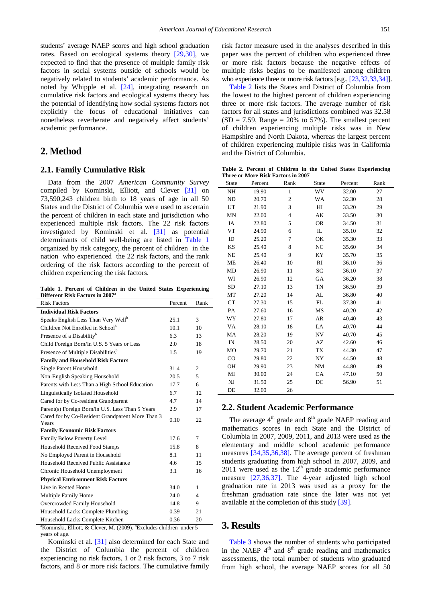students' average NAEP scores and high school graduation rates. Based on ecological systems theory [\[29,30\],](#page-4-1) we expected to find that the presence of multiple family risk factors in social systems outside of schools would be negatively related to students' academic performance. As noted by Whipple et al. [\[24\],](#page-3-9) integrating research on cumulative risk factors and ecological systems theory has the potential of identifying how social systems factors not explicitly the focus of educational initiatives can nonetheless reverberate and negatively affect students' academic performance.

# **2. Method**

#### **2.1. Family Cumulative Risk**

Data from the 2007 *American Community Survey* compiled by Kominski, Elliott, and Clever [\[31\]](#page-4-2) on 73,590,243 children birth to 18 years of age in all 50 States and the District of Columbia were used to ascertain the percent of children in each state and jurisdiction who experienced multiple risk factors. The 22 risk factors investigated by Kominski et al. [\[31\]](#page-4-2) as potential determinants of child well-being are listed in [Table 1](#page-1-0) organized by risk category, the percent of children in the nation who experienced the 22 risk factors, and the rank ordering of the risk factors according to the percent of children experiencing the risk factors.

**Table 1. Percent of Children in the United States Experiencing Different Risk Factors in 2007<sup>a</sup>**

<span id="page-1-0"></span>

| <b>Risk Factors</b>                                       | Percent | Rank |
|-----------------------------------------------------------|---------|------|
| <b>Individual Risk Factors</b>                            |         |      |
| Speaks English Less Than Very Well <sup>b</sup>           | 25.1    | 3    |
| Children Not Enrolled in School <sup>b</sup>              | 10.1    | 10   |
| Presence of a Disability <sup>b</sup>                     | 6.3     | 13   |
| Child Foreign Born/In U.S. 5 Years or Less                | 2.0     | 18   |
| Presence of Multiple Disabilities <sup>b</sup>            | 1.5     | 19   |
| <b>Family and Household Risk Factors</b>                  |         |      |
| Single Parent Household                                   | 31.4    | 2    |
| Non-English Speaking Household                            | 20.5    | 5    |
| Parents with Less Than a High School Education            | 17.7    | 6    |
| Linguistically Isolated Household                         | 6.7     | 12   |
| Cared for by Co-resident Grandparent                      | 4.7     | 14   |
| Parent(s) Foreign Born/in U.S. Less Than 5 Years          | 2.9     | 17   |
| Cared for by Co-Resident Grandparent More Than 3<br>Years | 0.10    | 22   |
| <b>Family Economic Risk Factors</b>                       |         |      |
| Family Below Poverty Level                                | 17.6    | 7    |
| Household Received Food Stamps                            | 15.8    | 8    |
| No Employed Parent in Household                           | 8.1     | 11   |
| Household Received Public Assistance                      | 46      | 15   |
| Chronic Household Unemployment                            | 3.1     | 16   |
| <b>Physical Environment Risk Factors</b>                  |         |      |
| Live in Rented Home                                       | 34.0    | 1    |
| <b>Multiple Family Home</b>                               | 24.0    | 4    |
| Overcrowded Family Household                              | 14.8    | 9    |
| Household Lacks Complete Plumbing                         | 0.39    | 2.1  |
| Household Lacks Complete Kitchen                          | 0.36    | 20   |

<sup>a</sup>Kominski, Elliott, & Clever, M. (2009). <sup>b</sup>Excludes children under 5 years of age.

Kominski et al. [\[31\]](#page-4-2) also determined for each State and the District of Columbia the percent of children experiencing no risk factors, 1 or 2 risk factors, 3 to 7 risk factors, and 8 or more risk factors. The cumulative family

risk factor measure used in the analyses described in this paper was the percent of children who experienced three or more risk factors because the negative effects of multiple risks begins to be manifested among children who experience three or more risk factors [e.g.[, \[23,32,33,34\]\]](#page-3-12).

[Table 2](#page-1-1) lists the States and District of Columbia from the lowest to the highest percent of children experiencing three or more risk factors. The average number of risk factors for all states and jurisdictions combined was 32.58  $(SD = 7.59, Range = 20\%$  to 57%). The smallest percent of children experiencing multiple risks was in New Hampshire and North Dakota, whereas the largest percent of children experiencing multiple risks was in California and the District of Columbia.

**Table 2. Percent of Children in the United States Experiencing Three or More Risk Factors in 2007**

<span id="page-1-1"></span>

| State         | Percent | Rank           | State     | Percent | Rank |
|---------------|---------|----------------|-----------|---------|------|
| NH            | 19.90   | $\mathbf{1}$   | WV        | 32.00   | 27   |
| ND            | 20.70   | $\mathfrak{2}$ | <b>WA</b> | 32.30   | 28   |
| UT            | 21.90   | 3              | HI        | 33.20   | 29   |
| <b>MN</b>     | 22.00   | $\overline{4}$ | AK        | 33.50   | 30   |
| IA            | 22.80   | 5              | <b>OR</b> | 34.50   | 31   |
| <b>VT</b>     | 24.90   | 6              | IL        | 35.10   | 32   |
| ID            | 25.20   | 7              | OK        | 35.30   | 33   |
| KS            | 25.40   | 8              | NC        | 35.60   | 34   |
| <b>NE</b>     | 25.40   | 9              | KY        | 35.70   | 35   |
| ME            | 26.40   | 10             | RI        | 36.10   | 36   |
| MD            | 26.90   | 11             | SC        | 36.10   | 37   |
| WI            | 26.90   | 12             | GA        | 36.20   | 38   |
| <b>SD</b>     | 27.10   | 13             | TN        | 36.50   | 39   |
| MT            | 27.20   | 14             | AL        | 36.80   | 40   |
| CT            | 27.30   | 15             | FL        | 37.30   | 41   |
| PA            | 27.60   | 16             | MS        | 40.20   | 42   |
| WY            | 27.80   | 17             | AR        | 40.40   | 43   |
| VA            | 28.10   | 18             | LA        | 40.70   | 44   |
| MA            | 28.20   | 19             | NV        | 40.70   | 45   |
| $\mathbb{IN}$ | 28.50   | 20             | AZ        | 42.60   | 46   |
| MO            | 29.70   | 21             | TX        | 44.30   | 47   |
| $_{\rm CO}$   | 29.80   | 22             | NY        | 44.50   | 48   |
| OH            | 29.90   | 23             | NM        | 44.80   | 49   |
| MI            | 30.00   | 24             | CA        | 47.10   | 50   |
| NJ            | 31.50   | 25             | DC        | 56.90   | 51   |
| DE            | 32.00   | 26             |           |         |      |

### **2.2. Student Academic Performance**

The average  $4<sup>th</sup>$  grade and  $8<sup>th</sup>$  grade NAEP reading and mathematics scores in each State and the District of Columbia in 2007, 2009, 2011, and 2013 were used as the elementary and middle school academic performance measures [\[34,35,36,38\].](#page-4-3) The average percent of freshman students graduating from high school in 2007, 2009, and  $2011$  were used as the  $12<sup>th</sup>$  grade academic performance measure [\[27,36,37\].](#page-4-0) The 4-year adjusted high school graduation rate in 2013 was used as a proxy for the freshman graduation rate since the later was not yet available at the completion of this stud[y \[39\].](#page-4-4)

### **3. Results**

[Table 3](#page-2-0) shows the number of students who participated in the NAEP  $4<sup>th</sup>$  and  $8<sup>th</sup>$  grade reading and mathematics assessments, the total number of students who graduated from high school, the average NAEP scores for all 50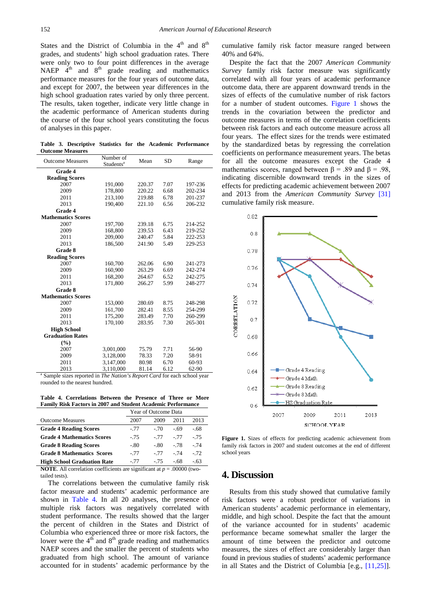States and the District of Columbia in the  $4<sup>th</sup>$  and  $8<sup>th</sup>$ grades, and students' high school graduation rates. There were only two to four point differences in the average NAEP  $4<sup>th</sup>$  and  $8<sup>th</sup>$  grade reading and mathematics performance measures for the four years of outcome data, and except for 2007, the between year differences in the high school graduation rates varied by only three percent. The results, taken together, indicate very little change in the academic performance of American students during the course of the four school years constituting the focus of analyses in this paper.

**Table 3. Descriptive Statistics for the Academic Performance Outcome Measures**

<span id="page-2-0"></span>

| <b>Outcome Measures</b>   | Number of             | Mean   | <b>SD</b> | Range   |  |
|---------------------------|-----------------------|--------|-----------|---------|--|
|                           | Students <sup>a</sup> |        |           |         |  |
| Grade 4                   |                       |        |           |         |  |
| <b>Reading Scores</b>     |                       |        |           |         |  |
| 2007                      | 191,000               | 220.37 | 7.07      | 197-236 |  |
| 2009                      | 178,800               | 220.22 | 6.68      | 202-234 |  |
| 2011                      | 213,100               | 219.88 | 6.78      | 201-237 |  |
| 2013                      | 190,400               | 221.10 | 6.56      | 206-232 |  |
| Grade 4                   |                       |        |           |         |  |
| <b>Mathematics Scores</b> |                       |        |           |         |  |
| 2007                      | 197,700               | 239.18 | 6.75      | 214-252 |  |
| 2009                      | 168,800               | 239.53 | 6.43      | 219-252 |  |
| 2011                      | 209,000               | 240.47 | 5.84      | 222-253 |  |
| 2013                      | 186,500               | 241.90 | 5.49      | 229-253 |  |
| Grade 8                   |                       |        |           |         |  |
| <b>Reading Scores</b>     |                       |        |           |         |  |
| 2007                      | 160,700               | 262.06 | 6.90      | 241-273 |  |
| 2009                      | 160,900               | 263.29 | 6.69      | 242-274 |  |
| 2011                      | 168,200               | 264.67 | 6.52      | 242-275 |  |
| 2013                      | 171,800               | 266.27 | 5.99      | 248-277 |  |
| Grade 8                   |                       |        |           |         |  |
| <b>Mathematics Scores</b> |                       |        |           |         |  |
| 2007                      | 153,000               | 280.69 | 8.75      | 248-298 |  |
| 2009                      | 161,700               | 282.41 | 8.55      | 254-299 |  |
| 2011                      | 175,200               | 283.49 | 7.70      | 260-299 |  |
| 2013                      | 170,100               | 283.95 | 7.30      | 265-301 |  |
| <b>High School</b>        |                       |        |           |         |  |
| <b>Graduation Rates</b>   |                       |        |           |         |  |
| (%)                       |                       |        |           |         |  |
| 2007                      | 3,001,000             | 75.79  | 7.71      | 56-90   |  |
| 2009                      | 3,128,000             | 78.33  | 7.20      | 58-91   |  |
| 2011                      | 3,147,000             | 80.98  | 6.70      | 60-93   |  |
| 2013                      | 3.110.000             | 81.14  | 6.12      | 62-90   |  |

<sup>a</sup> Sample sizes reported in *The Nation's Report Card* for each school year rounded to the nearest hundred.

**Table 4. Correlations Between the Presence of Three or More Family Risk Factors in 2007 and Student Academic Performance**

<span id="page-2-1"></span>

|                                                                                      | Year of Outcome Data |        |        |        |  |
|--------------------------------------------------------------------------------------|----------------------|--------|--------|--------|--|
| <b>Outcome Measures</b>                                                              | 2007                 | 2009   | 2011   | 2013   |  |
| <b>Grade 4 Reading Scores</b>                                                        | $-.77$               | $-70$  | - 69   | -.68   |  |
| <b>Grade 4 Mathematics Scores</b>                                                    | $-75$                | $-77$  | $-77$  | - 75   |  |
| <b>Grade 8 Reading Scores</b>                                                        | $-.80$               | $-.80$ | $-.78$ | - 74   |  |
| <b>Grade 8 Mathematics Scores</b>                                                    | $-77$                | $-77$  | $-74$  | $-72.$ |  |
| <b>High School Graduation Rate</b>                                                   | $-.77$               | $-75$  | - 68   | $-.63$ |  |
| $\Delta \theta$ correlation coefficients are significant at $p = 00000$ (two<br>NOTE |                      |        |        |        |  |

*N* efficients are significant tailed tests).

The correlations between the cumulative family risk factor measure and students' academic performance are shown in [Table 4.](#page-2-1) In all 20 analyses, the presence of multiple risk factors was negatively correlated with student performance. The results showed that the larger the percent of children in the States and District of Columbia who experienced three or more risk factors, the lower were the  $4<sup>th</sup>$  and  $8<sup>th</sup>$  grade reading and mathematics NAEP scores and the smaller the percent of students who graduated from high school. The amount of variance accounted for in students' academic performance by the

cumulative family risk factor measure ranged between 40% and 64%.

Despite the fact that the 2007 *American Community Survey* family risk factor measure was significantly correlated with all four years of academic performance outcome data, there are apparent downward trends in the sizes of effects of the cumulative number of risk factors for a number of student outcomes. [Figure 1](#page-2-2) shows the trends in the covariation between the predictor and outcome measures in terms of the correlation coefficients between risk factors and each outcome measure across all four years. The effect sizes for the trends were estimated by the standardized betas by regressing the correlation coefficients on performance measurement years. The betas for all the outcome measures except the Grade 4 mathematics scores, ranged between  $\beta$  = .89 and  $\beta$  = .98, indicating discernible downward trends in the sizes of effects for predicting academic achievement between 2007 and 2013 from the *American Community Survey* [\[31\]](#page-4-2) cumulative family risk measure.

<span id="page-2-2"></span>

**Figure 1.** Sizes of effects for predicting academic achievement from family risk factors in 2007 and student outcomes at the end of different school years

#### **4. Discussion**

Results from this study showed that cumulative family risk factors were a robust predictor of variations in American students' academic performance in elementary, middle, and high school. Despite the fact that the amount of the variance accounted for in students' academic performance became somewhat smaller the larger the amount of time between the predictor and outcome measures, the sizes of effect are considerably larger than found in previous studies of students' academic performance in all States and the District of Columbia [e.g., [\[11,25\]\]](#page-3-13).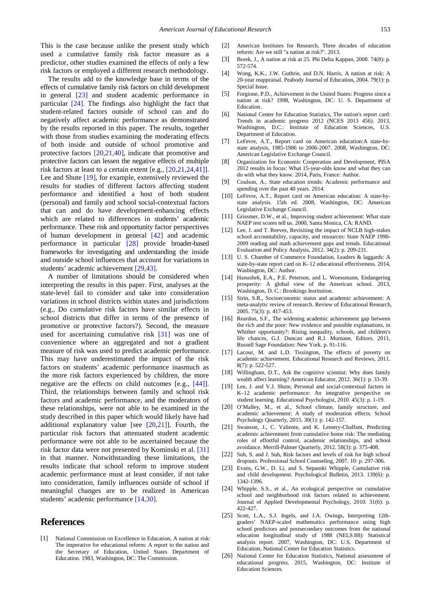This is the case because unlike the present study which used a cumulative family risk factor measure as a predictor, other studies examined the effects of only a few risk factors or employed a different research methodology.

The results add to the knowledge base in terms of the effects of cumulative family risk factors on child development in general [\[23\]](#page-3-12) and student academic performance in particular [\[24\].](#page-3-9) The findings also highlight the fact that student-related factors outside of school can and do negatively affect academic performance as demonstrated by the results reported in this paper. The results, together with those from studies examining the moderating effects of both inside and outside of school promotive and protective factors [\[20,21,40\],](#page-3-14) indicate that promotive and protective factors can lessen the negative effects of multiple risk factors at least to a certain extent [e.g., [\[20,21,24,41\]\]](#page-3-14). Lee and Shute [\[19\],](#page-3-15) for example, extensively reviewed the results for studies of different factors affecting student performance and identified a host of both student (personal) and family and school social-contextual factors that can and do have development-enhancing effects which are related to differences in students' academic performance. These risk and opportunity factor perspectives of human development in general [\[42\]](#page-4-5) and academic performance in particular [\[28\]](#page-4-6) provide broader-based frameworks for investigating and understanding the inside and outside school influences that account for variations in students' academic achievement [\[29,43\].](#page-4-1)

A number of limitations should be considered when interpreting the results in this paper. First, analyses at the state-level fail to consider and take into consideration variations in school districts within states and jurisdictions (e.g., Do cumulative risk factors have similar effects in school districts that differ in terms of the presence of promotive or protective factors?). Second, the measure used for ascertaining cumulative risk [\[31\]](#page-4-2) was one of convenience where an aggregated and not a gradient measure of risk was used to predict academic performance. This may have underestimated the impact of the risk factors on students' academic performance inasmuch as the more risk factors experienced by children, the more negative are the effects on child outcomes [e.g., [\[44\]\]](#page-4-7). Third, the relationships between family and school risk factors and academic performance, and the moderators of these relationships, were not able to be examined in the study described in this paper which would likely have had additional explanatory value [see [\[20,21\]\]](#page-3-14). Fourth, the particular risk factors that attenuated student academic performance were not able to be ascertained because the risk factor data were not presented by Kominski et al. [\[31\]](#page-4-2) in that manner. Notwithstanding these limitations, the results indicate that school reform to improve student academic performance must at least consider, if not take into consideration, family influences outside of school if meaningful changes are to be realized in American students' academic performance [\[14,30\].](#page-3-16)

# **References**

<span id="page-3-0"></span>[1] National Commission on Excellence in Education, A nation at risk: The imperative for educational reform: A report to the nation and the Secretary of Education, United States Department of Education. 1983, Washington, DC: The Commission.

- <span id="page-3-1"></span>[2] American Institutes for Research, Three decades of education reform: Are we still "a nation at risk?". 2013.
- [3] Borek, J., A nation at risk at 25. Phi Delta Kappan, 2008. 74(8): p. 572-574.
- [4] Wong, K.K., J.W. Guthrie, and D.N. Harris, A nation at risk: A 20-year reappraisal. Peabody Journal of Education, 2004. 79(1): p. Special Issue.
- <span id="page-3-2"></span>[5] Forgione, P.D., Achievement in the United States: Progress since a nation at risk? 1998, Washington, DC: U. S. Department of Education.
- <span id="page-3-4"></span>[6] National Center for Education Statistics, The nation's report card: Trends in academic progress 2012 (NCES 2013 456). 2013, Washington, D.C.: Institute of Education Sciences, U.S. Department of Education.
- [7] LeFevre, A.T., Report card on American education:A state-bystate analysis, 1985-1986 to 2006-2007. 2008, Washington, DC: American Legislative Exchange Council.
- <span id="page-3-3"></span>[8] Organization for Economic Cooperation and Development, PISA 2012 results in focus: What 15-year-olds know and what they can do with what they know. 2014, Paris, France: Author.
- <span id="page-3-7"></span>[9] Coulson, A., State education trends: Academic performance and spending over the past 40 years. 2014.
- <span id="page-3-5"></span>[10] LeFevre, A.T., Report card on American education: A state-bystate analysis. 15th ed. 2008, Washington, DC: American Legislative Exchange Council.
- <span id="page-3-13"></span>[11] Grissmer, D.W., et al., Improving student achievement: What state NAEP test scores tell us. 2000, Santa Monica, CA: RAND.
- [12] Lee, J. and T. Reeves, Revisiting the impact of NCLB high-stakes school accountability, capacity, and resources: State NAEP 1990- 2009 reading and math achievement gaps and trends. Educational Evaluation and Policy Analysis, 2012. 34(2): p. 209-231.
- [13] U. S. Chamber of Commerce Foundation, Leaders & laggards: A state-by-state report card on K–12 educational effectiveness. 2014, Washington, DC: Author.
- <span id="page-3-16"></span>[14] Hanushek, E.A., P.E. Peterson, and L. Woessmann, Endangering prosperity: A global view of the American school. 2013, Washington, D. C.: Brookings Institution.
- <span id="page-3-6"></span>[15] Sirin, S.R., Socioeconomic status and academic achievement: A meta-analytic review of research. Review of Educational Research, 2005. 75(3): p. 417-453.
- [16] Reardon, S.F., The widening academic achievement gap between the rich and the poor: New evidence and possible explanations, in Whither opportunity?: Rising inequality, schools, and children's life chances, G.J. Duncan and R.J. Murnane, Editors. 2011, Russell Sage Foundation: New York. p. 91-116.
- [17] Lacour, M. and L.D. Tissington, The effects of poverty on academic achievement. Educational Research and Reviews, 2011. 8(7): p. 522-527.
- [18] Willingham, D.T., Ask the cognitive scientist: Why does family wealth affect learning? American Educator, 2012. 36(1): p. 33-39.
- <span id="page-3-15"></span>[19] Lee, J. and V.J. Shute, Personal and social-contextual factors in K–12 academic performance: An integrative perspective on student learning. Educational Psychologist, 2010. 45(3): p. 1-19.
- <span id="page-3-14"></span>[20] O'Malley, M., et al., School climate, family structure, and academic achievement: A study of moderation effects. School Psychology Quarterly, 2015. 30(1): p. 142-157.
- <span id="page-3-8"></span>[21] Swanson, J., C. Valiente, and K. Lemery-Chalfant, Predicting academic achievement from cumulative home risk: The mediating roles of effortful control, academic relationships, and school avoidance. Merrill-Palmer Quarterly, 2012. 58(3): p. 375-408.
- [22] Suh, S. and J. Suh, Risk factors and levels of risk for high school dropouts. Professional School Counseling, 2007. 10: p. 297-306.
- <span id="page-3-12"></span>[23] Evans, G.W., D. Li, and S. Sepanski Whipple, Cumulative risk and child development. Psychological Bulletin, 2013. 139(6): p. 1342-1396.
- <span id="page-3-9"></span>[24] Whipple, S.S., et al., An ecological perspective on cumulative school and neighborhood risk factors related to achievement. Journal of Applied Developmental Psychology, 2010. 31(6): p. 422-427.
- <span id="page-3-10"></span>[25] Scott, L.A., S.J. Ingels, and J.A. Owings, Interpreting 12thgraders' NAEP-scaled mathematics performance using high school predictors and postsecondary outcomes from the national education longitudinal study of 1988 (NELS:88): Statistical analysis report. 2007, Washington, DC: U.S. Department of Education, National Center for Education Statistics.
- <span id="page-3-11"></span>[26] National Center for Education Statistics, National assessment of educational progress. 2015, Washington, DC: Institute of Education Sciences.